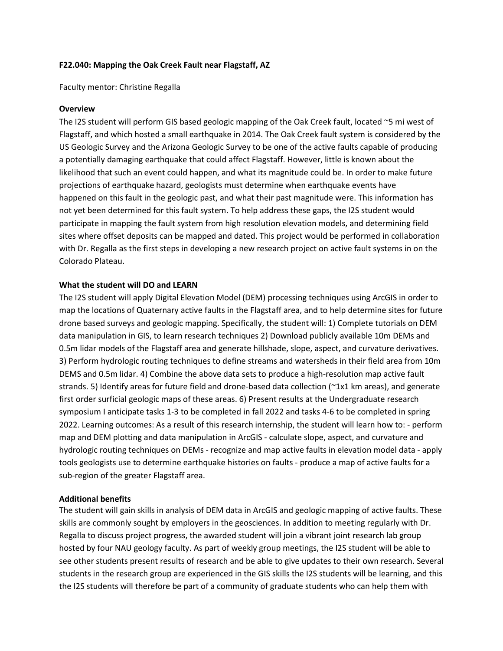## **F22.040: Mapping the Oak Creek Fault near Flagstaff, AZ**

Faculty mentor: Christine Regalla

#### **Overview**

The I2S student will perform GIS based geologic mapping of the Oak Creek fault, located ~5 mi west of Flagstaff, and which hosted a small earthquake in 2014. The Oak Creek fault system is considered by the US Geologic Survey and the Arizona Geologic Survey to be one of the active faults capable of producing a potentially damaging earthquake that could affect Flagstaff. However, little is known about the likelihood that such an event could happen, and what its magnitude could be. In order to make future projections of earthquake hazard, geologists must determine when earthquake events have happened on this fault in the geologic past, and what their past magnitude were. This information has not yet been determined for this fault system. To help address these gaps, the I2S student would participate in mapping the fault system from high resolution elevation models, and determining field sites where offset deposits can be mapped and dated. This project would be performed in collaboration with Dr. Regalla as the first steps in developing a new research project on active fault systems in on the Colorado Plateau.

## **What the student will DO and LEARN**

The I2S student will apply Digital Elevation Model (DEM) processing techniques using ArcGIS in order to map the locations of Quaternary active faults in the Flagstaff area, and to help determine sites for future drone based surveys and geologic mapping. Specifically, the student will: 1) Complete tutorials on DEM data manipulation in GIS, to learn research techniques 2) Download publicly available 10m DEMs and 0.5m lidar models of the Flagstaff area and generate hillshade, slope, aspect, and curvature derivatives. 3) Perform hydrologic routing techniques to define streams and watersheds in their field area from 10m DEMS and 0.5m lidar. 4) Combine the above data sets to produce a high-resolution map active fault strands. 5) Identify areas for future field and drone-based data collection (~1x1 km areas), and generate first order surficial geologic maps of these areas. 6) Present results at the Undergraduate research symposium I anticipate tasks 1-3 to be completed in fall 2022 and tasks 4-6 to be completed in spring 2022. Learning outcomes: As a result of this research internship, the student will learn how to: - perform map and DEM plotting and data manipulation in ArcGIS - calculate slope, aspect, and curvature and hydrologic routing techniques on DEMs - recognize and map active faults in elevation model data - apply tools geologists use to determine earthquake histories on faults - produce a map of active faults for a sub-region of the greater Flagstaff area.

# **Additional benefits**

The student will gain skills in analysis of DEM data in ArcGIS and geologic mapping of active faults. These skills are commonly sought by employers in the geosciences. In addition to meeting regularly with Dr. Regalla to discuss project progress, the awarded student will join a vibrant joint research lab group hosted by four NAU geology faculty. As part of weekly group meetings, the I2S student will be able to see other students present results of research and be able to give updates to their own research. Several students in the research group are experienced in the GIS skills the I2S students will be learning, and this the I2S students will therefore be part of a community of graduate students who can help them with